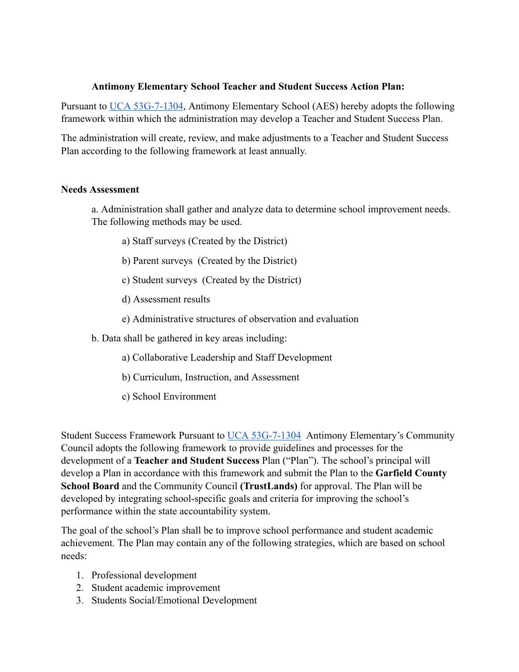# **Antimony Elementary School Teacher and Student Success Action Plan:**

Pursuant to [UCA 53G-7-1304](https://www.schools.utah.gov/file/79833767-66d8-47c5-8274-848e974e6852), Antimony Elementary School (AES) hereby adopts the following framework within which the administration may develop a Teacher and Student Success Plan.

The administration will create, review, and make adjustments to a Teacher and Student Success Plan according to the following framework at least annually.

## **Needs Assessment**

a. Administration shall gather and analyze data to determine school improvement needs. The following methods may be used.

- a) Staff surveys (Created by the District)
- b) Parent surveys (Created by the District)
- c) Student surveys (Created by the District)
- d) Assessment results
- e) Administrative structures of observation and evaluation

b. Data shall be gathered in key areas including:

- a) Collaborative Leadership and Staff Development
- b) Curriculum, Instruction, and Assessment
- c) School Environment

Student Success Framework Pursuant to [UCA 53G-7-1304](https://www.schools.utah.gov/file/79833767-66d8-47c5-8274-848e974e6852) Antimony Elementary's Community Council adopts the following framework to provide guidelines and processes for the development of a **Teacher and Student Success** Plan ("Plan"). The school's principal will develop a Plan in accordance with this framework and submit the Plan to the **Garfield County School Board** and the Community Council **(TrustLands)** for approval. The Plan will be developed by integrating school-specific goals and criteria for improving the school's performance within the state accountability system.

The goal of the school's Plan shall be to improve school performance and student academic achievement. The Plan may contain any of the following strategies, which are based on school needs:

- 1. Professional development
- 2. Student academic improvement
- 3. Students Social/Emotional Development